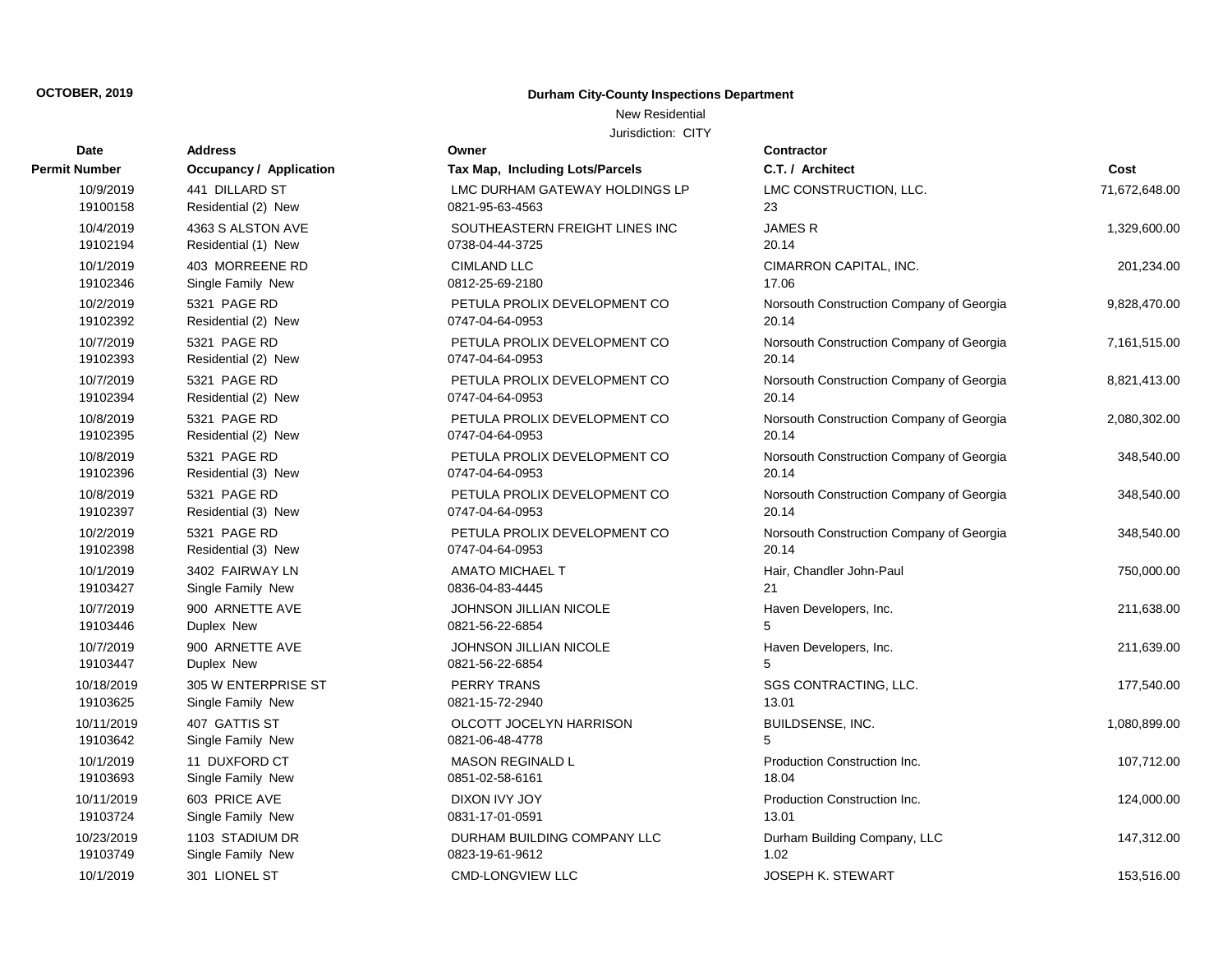New Residential

| Date          | <b>Address</b>                 | Owner                           | Contractor      |
|---------------|--------------------------------|---------------------------------|-----------------|
| Permit Number | <b>Occupancy / Application</b> | Tax Map, Including Lots/Parcels | C.T. / Arch     |
| 10/9/2019     | 441 DILLARD ST                 | LMC DURHAM GATEWAY HOLDINGS LP  | <b>LMC CONS</b> |
| 19100158      | Residential (2) New            | 0821-95-63-4563                 | 23              |
| 10/4/2019     | 4363 S ALSTON AVE              | SOUTHEASTERN FREIGHT LINES INC  | <b>JAMESR</b>   |
| 19102194      | Residential (1) New            | 0738-04-44-3725                 | 20.14           |
| 10/1/2019     | 403 MORREENE RD                | <b>CIMLAND LLC</b>              | <b>CIMARRON</b> |
| 19102346      | Single Family New              | 0812-25-69-2180                 | 17.06           |
| 10/2/2019     | 5321 PAGE RD                   | PETULA PROLIX DEVELOPMENT CO    | Norsouth C      |
| 19102392      | Residential (2) New            | 0747-04-64-0953                 | 20.14           |
| 10/7/2019     | 5321 PAGE RD                   | PETULA PROLIX DEVELOPMENT CO    | Norsouth C      |
| 19102393      | Residential (2) New            | 0747-04-64-0953                 | 20.14           |
| 10/7/2019     | 5321 PAGE RD                   | PETULA PROLIX DEVELOPMENT CO    | Norsouth C      |
| 19102394      | Residential (2) New            | 0747-04-64-0953                 | 20.14           |
| 10/8/2019     | 5321 PAGE RD                   | PETULA PROLIX DEVELOPMENT CO    | Norsouth C      |
| 19102395      | Residential (2) New            | 0747-04-64-0953                 | 20.14           |
| 10/8/2019     | 5321 PAGE RD                   | PETULA PROLIX DEVELOPMENT CO    | Norsouth C      |
| 19102396      | Residential (3) New            | 0747-04-64-0953                 | 20.14           |
| 10/8/2019     | 5321 PAGE RD                   | PETULA PROLIX DEVELOPMENT CO    | Norsouth C      |
| 19102397      | Residential (3) New            | 0747-04-64-0953                 | 20.14           |
| 10/2/2019     | 5321 PAGE RD                   | PETULA PROLIX DEVELOPMENT CO    | Norsouth C      |
| 19102398      | Residential (3) New            | 0747-04-64-0953                 | 20.14           |
| 10/1/2019     | 3402 FAIRWAY LN                | <b>AMATO MICHAEL T</b>          | Hair, Chand     |
| 19103427      | Single Family New              | 0836-04-83-4445                 | 21              |
| 10/7/2019     | 900 ARNETTE AVE                | JOHNSON JILLIAN NICOLE          | Haven Dev       |
| 19103446      | Duplex New                     | 0821-56-22-6854                 | 5               |
| 10/7/2019     | 900 ARNETTE AVE                | <b>JOHNSON JILLIAN NICOLE</b>   | Haven Dev       |
| 19103447      | Duplex New                     | 0821-56-22-6854                 | 5               |
| 10/18/2019    | 305 W ENTERPRISE ST            | <b>PERRY TRANS</b>              | <b>SGS CONT</b> |
| 19103625      | Single Family New              | 0821-15-72-2940                 | 13.01           |
| 10/11/2019    | 407 GATTIS ST                  | OLCOTT JOCELYN HARRISON         | <b>BUILDSEN</b> |
| 19103642      | Single Family New              | 0821-06-48-4778                 | 5               |
| 10/1/2019     | 11 DUXFORD CT                  | <b>MASON REGINALD L</b>         | Production      |
| 19103693      | Single Family New              | 0851-02-58-6161                 | 18.04           |
| 10/11/2019    | 603 PRICE AVE                  | DIXON IVY JOY                   | Production      |
| 19103724      | Single Family New              | 0831-17-01-0591                 | 13.01           |
| 10/23/2019    | 1103 STADIUM DR                | DURHAM BUILDING COMPANY LLC     | Durham Bu       |
| 19103749      | Single Family New              | 0823-19-61-9612                 | 1.02            |
| 10/1/2019     | 301 LIONEL ST                  | <b>CMD-LONGVIEW LLC</b>         | <b>JOSEPH K</b> |

| ax Map, Including Lots/Parcels                       |
|------------------------------------------------------|
| MC DURHAM GATEWAY HOLDINGS LP<br>321-95-63-4563      |
| OUTHEASTERN FREIGHT LINES INC<br>738-04-44-3725      |
| <b>IMLAND LLC</b><br>312-25-69-2180                  |
| <b>ETULA PROLIX DEVELOPMENT CO</b><br>747-04-64-0953 |
| ETULA PROLIX DEVELOPMENT CO<br>747-04-64-0953        |
| ETULA PROLIX DEVELOPMENT CO<br>747-04-64-0953        |
| ETULA PROLIX DEVELOPMENT CO<br>747-04-64-0953        |
| ETULA PROLIX DEVELOPMENT CO<br>747-04-64-0953        |
| ETULA PROLIX DEVELOPMENT CO<br>747-04-64-0953        |
| ETULA PROLIX DEVELOPMENT CO<br>747-04-64-0953        |
| MATO MICHAEL T<br>336-04-83-4445                     |
| <b>OHNSON JILLIAN NICOLE</b><br>321-56-22-6854       |
| OHNSON JILLIAN NICOLE<br>321-56-22-6854              |
| <b>ERRY TRANS</b><br>321-15-72-2940                  |
| )LCOTT JOCELYN HARRISON<br>821-06-48-4778            |
| 1ASON REGINALD L<br>851-02-58-6161                   |
| you yy Joy<br>331-17-01-0591                         |
| <b>URHAM BUILDING COMPANY LLC</b><br>323-19-61-9612  |
| MDI ONOVIEW II C                                     |

| Number     | Occupancy / Application | Tax Map, Including Lots/Parcels | C.T. / Architect                         | Cost          |
|------------|-------------------------|---------------------------------|------------------------------------------|---------------|
| 10/9/2019  | 441 DILLARD ST          | LMC DURHAM GATEWAY HOLDINGS LP  | LMC CONSTRUCTION, LLC.                   | 71,672,648.00 |
| 19100158   | Residential (2) New     | 0821-95-63-4563                 | 23                                       |               |
| 10/4/2019  | 4363 S ALSTON AVE       | SOUTHEASTERN FREIGHT LINES INC  | <b>JAMESR</b>                            | 1,329,600.00  |
| 19102194   | Residential (1) New     | 0738-04-44-3725                 | 20.14                                    |               |
| 10/1/2019  | 403 MORREENE RD         | <b>CIMLAND LLC</b>              | CIMARRON CAPITAL, INC.                   | 201,234.00    |
| 19102346   | Single Family New       | 0812-25-69-2180                 | 17.06                                    |               |
| 10/2/2019  | 5321 PAGE RD            | PETULA PROLIX DEVELOPMENT CO    | Norsouth Construction Company of Georgia | 9,828,470.00  |
| 19102392   | Residential (2) New     | 0747-04-64-0953                 | 20.14                                    |               |
| 10/7/2019  | 5321 PAGE RD            | PETULA PROLIX DEVELOPMENT CO    | Norsouth Construction Company of Georgia | 7,161,515.00  |
| 19102393   | Residential (2) New     | 0747-04-64-0953                 | 20.14                                    |               |
| 10/7/2019  | 5321 PAGE RD            | PETULA PROLIX DEVELOPMENT CO    | Norsouth Construction Company of Georgia | 8,821,413.00  |
| 19102394   | Residential (2) New     | 0747-04-64-0953                 | 20.14                                    |               |
| 10/8/2019  | 5321 PAGE RD            | PETULA PROLIX DEVELOPMENT CO    | Norsouth Construction Company of Georgia | 2,080,302.00  |
| 19102395   | Residential (2) New     | 0747-04-64-0953                 | 20.14                                    |               |
| 10/8/2019  | 5321 PAGE RD            | PETULA PROLIX DEVELOPMENT CO    | Norsouth Construction Company of Georgia | 348,540.00    |
| 19102396   | Residential (3) New     | 0747-04-64-0953                 | 20.14                                    |               |
| 10/8/2019  | 5321 PAGE RD            | PETULA PROLIX DEVELOPMENT CO    | Norsouth Construction Company of Georgia | 348,540.00    |
| 19102397   | Residential (3) New     | 0747-04-64-0953                 | 20.14                                    |               |
| 10/2/2019  | 5321 PAGE RD            | PETULA PROLIX DEVELOPMENT CO    | Norsouth Construction Company of Georgia | 348,540.00    |
| 19102398   | Residential (3) New     | 0747-04-64-0953                 | 20.14                                    |               |
| 10/1/2019  | 3402 FAIRWAY LN         | <b>AMATO MICHAEL T</b>          | Hair, Chandler John-Paul                 | 750,000.00    |
| 19103427   | Single Family New       | 0836-04-83-4445                 | 21                                       |               |
| 10/7/2019  | 900 ARNETTE AVE         | JOHNSON JILLIAN NICOLE          | Haven Developers, Inc.                   | 211,638.00    |
| 19103446   | Duplex New              | 0821-56-22-6854                 | 5                                        |               |
| 10/7/2019  | 900 ARNETTE AVE         | JOHNSON JILLIAN NICOLE          | Haven Developers, Inc.                   | 211,639.00    |
| 19103447   | Duplex New              | 0821-56-22-6854                 | 5                                        |               |
| 10/18/2019 | 305 W ENTERPRISE ST     | <b>PERRY TRANS</b>              | SGS CONTRACTING, LLC.                    | 177,540.00    |
| 19103625   | Single Family New       | 0821-15-72-2940                 | 13.01                                    |               |
| 10/11/2019 | 407 GATTIS ST           | OLCOTT JOCELYN HARRISON         | BUILDSENSE, INC.                         | 1,080,899.00  |
| 19103642   | Single Family New       | 0821-06-48-4778                 | 5                                        |               |
| 10/1/2019  | 11 DUXFORD CT           | <b>MASON REGINALD L</b>         | Production Construction Inc.             | 107,712.00    |
| 19103693   | Single Family New       | 0851-02-58-6161                 | 18.04                                    |               |
| 10/11/2019 | 603 PRICE AVE           | DIXON IVY JOY                   | Production Construction Inc.             | 124,000.00    |
| 19103724   | Single Family New       | 0831-17-01-0591                 | 13.01                                    |               |
| 10/23/2019 | 1103 STADIUM DR         | DURHAM BUILDING COMPANY LLC     | Durham Building Company, LLC             | 147,312.00    |
| 19103749   | Single Family New       | 0823-19-61-9612                 | 1.02                                     |               |
| 10/1/2019  | 301 LIONEL ST           | <b>CMD-LONGVIEW LLC</b>         | JOSEPH K. STEWART                        | 153,516.00    |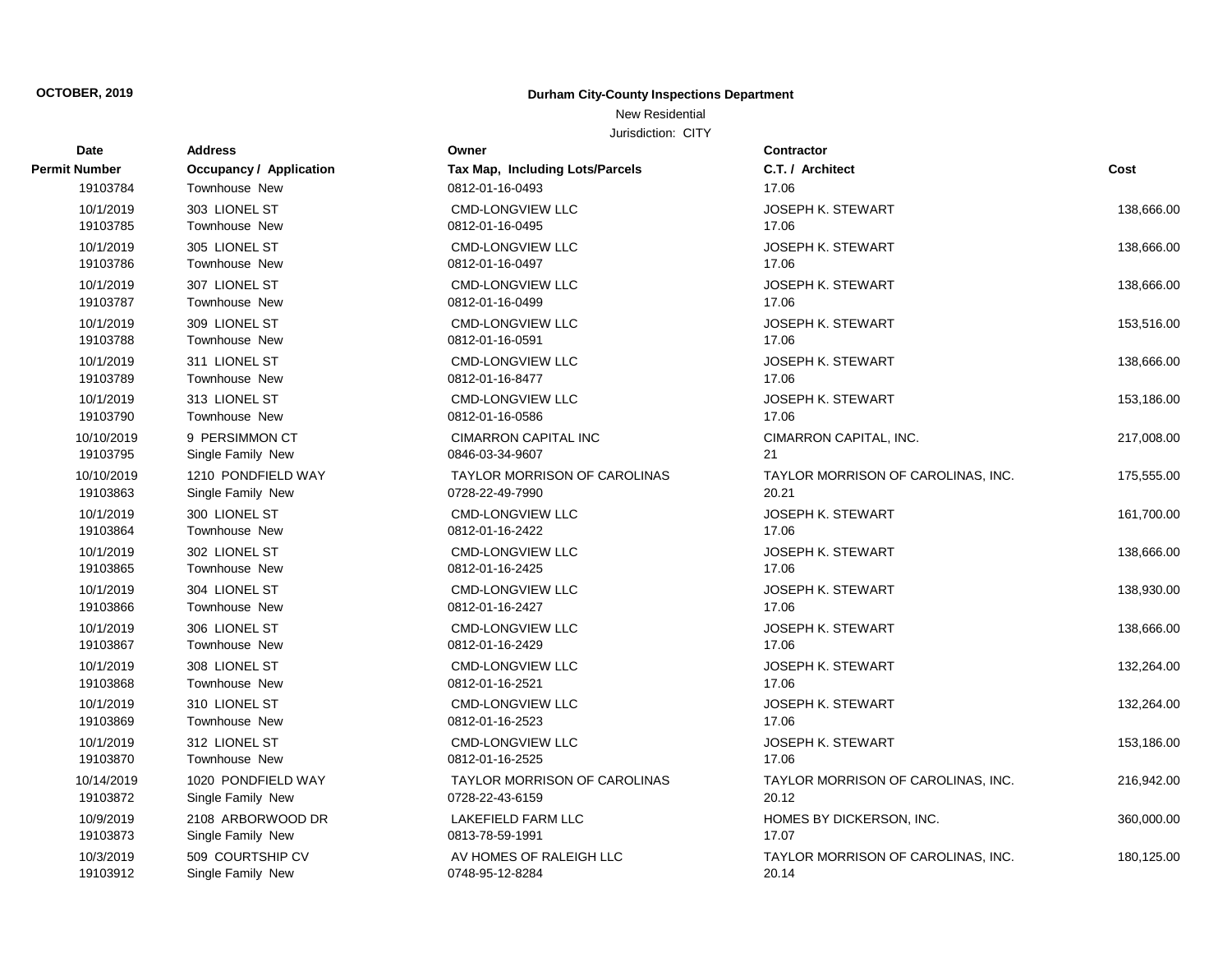## New Residential

| Date          | <b>Address</b>                 | Owner                                  | Contractor                         |            |
|---------------|--------------------------------|----------------------------------------|------------------------------------|------------|
| Permit Number | <b>Occupancy / Application</b> | <b>Tax Map, Including Lots/Parcels</b> | C.T. / Architect                   | Cost       |
| 19103784      | Townhouse New                  | 0812-01-16-0493                        | 17.06                              |            |
| 10/1/2019     | 303 LIONEL ST                  | <b>CMD-LONGVIEW LLC</b>                | JOSEPH K. STEWART                  | 138,666.00 |
| 19103785      | Townhouse New                  | 0812-01-16-0495                        | 17.06                              |            |
| 10/1/2019     | 305 LIONEL ST                  | <b>CMD-LONGVIEW LLC</b>                | <b>JOSEPH K. STEWART</b>           | 138,666.00 |
| 19103786      | Townhouse New                  | 0812-01-16-0497                        | 17.06                              |            |
| 10/1/2019     | 307 LIONEL ST                  | <b>CMD-LONGVIEW LLC</b>                | <b>JOSEPH K. STEWART</b>           | 138,666.00 |
| 19103787      | Townhouse New                  | 0812-01-16-0499                        | 17.06                              |            |
| 10/1/2019     | 309 LIONEL ST                  | <b>CMD-LONGVIEW LLC</b>                | <b>JOSEPH K. STEWART</b>           | 153,516.00 |
| 19103788      | Townhouse New                  | 0812-01-16-0591                        | 17.06                              |            |
| 10/1/2019     | 311 LIONEL ST                  | <b>CMD-LONGVIEW LLC</b>                | <b>JOSEPH K. STEWART</b>           | 138,666.00 |
| 19103789      | Townhouse New                  | 0812-01-16-8477                        | 17.06                              |            |
| 10/1/2019     | 313 LIONEL ST                  | <b>CMD-LONGVIEW LLC</b>                | <b>JOSEPH K. STEWART</b>           | 153,186.00 |
| 19103790      | <b>Townhouse New</b>           | 0812-01-16-0586                        | 17.06                              |            |
| 10/10/2019    | 9 PERSIMMON CT                 | <b>CIMARRON CAPITAL INC</b>            | CIMARRON CAPITAL, INC.             | 217,008.00 |
| 19103795      | Single Family New              | 0846-03-34-9607                        | 21                                 |            |
| 10/10/2019    | 1210 PONDFIELD WAY             | TAYLOR MORRISON OF CAROLINAS           | TAYLOR MORRISON OF CAROLINAS, INC. | 175,555.00 |
| 19103863      | Single Family New              | 0728-22-49-7990                        | 20.21                              |            |
| 10/1/2019     | 300 LIONEL ST                  | <b>CMD-LONGVIEW LLC</b>                | <b>JOSEPH K. STEWART</b>           | 161,700.00 |
| 19103864      | Townhouse New                  | 0812-01-16-2422                        | 17.06                              |            |
| 10/1/2019     | 302 LIONEL ST                  | <b>CMD-LONGVIEW LLC</b>                | <b>JOSEPH K. STEWART</b>           | 138,666.00 |
| 19103865      | Townhouse New                  | 0812-01-16-2425                        | 17.06                              |            |
| 10/1/2019     | 304 LIONEL ST                  | <b>CMD-LONGVIEW LLC</b>                | <b>JOSEPH K. STEWART</b>           | 138,930.00 |
| 19103866      | Townhouse New                  | 0812-01-16-2427                        | 17.06                              |            |
| 10/1/2019     | 306 LIONEL ST                  | <b>CMD-LONGVIEW LLC</b>                | <b>JOSEPH K. STEWART</b>           | 138,666.00 |
| 19103867      | Townhouse New                  | 0812-01-16-2429                        | 17.06                              |            |
| 10/1/2019     | 308 LIONEL ST                  | <b>CMD-LONGVIEW LLC</b>                | <b>JOSEPH K. STEWART</b>           | 132,264.00 |
| 19103868      | Townhouse New                  | 0812-01-16-2521                        | 17.06                              |            |
| 10/1/2019     | 310 LIONEL ST                  | <b>CMD-LONGVIEW LLC</b>                | <b>JOSEPH K. STEWART</b>           | 132,264.00 |
| 19103869      | Townhouse New                  | 0812-01-16-2523                        | 17.06                              |            |
| 10/1/2019     | 312 LIONEL ST                  | <b>CMD-LONGVIEW LLC</b>                | <b>JOSEPH K. STEWART</b>           | 153,186.00 |
| 19103870      | Townhouse New                  | 0812-01-16-2525                        | 17.06                              |            |
| 10/14/2019    | 1020 PONDFIELD WAY             | <b>TAYLOR MORRISON OF CAROLINAS</b>    | TAYLOR MORRISON OF CAROLINAS, INC. | 216,942.00 |
| 19103872      | Single Family New              | 0728-22-43-6159                        | 20.12                              |            |
| 10/9/2019     | 2108 ARBORWOOD DR              | LAKEFIELD FARM LLC                     | HOMES BY DICKERSON, INC.           | 360,000.00 |
| 19103873      | Single Family New              | 0813-78-59-1991                        | 17.07                              |            |
| 10/3/2019     | 509 COURTSHIP CV               | AV HOMES OF RALEIGH LLC                | TAYLOR MORRISON OF CAROLINAS, INC. | 180,125.00 |
| 19103912      | Single Family New              | 0748-95-12-8284                        | 20.14                              |            |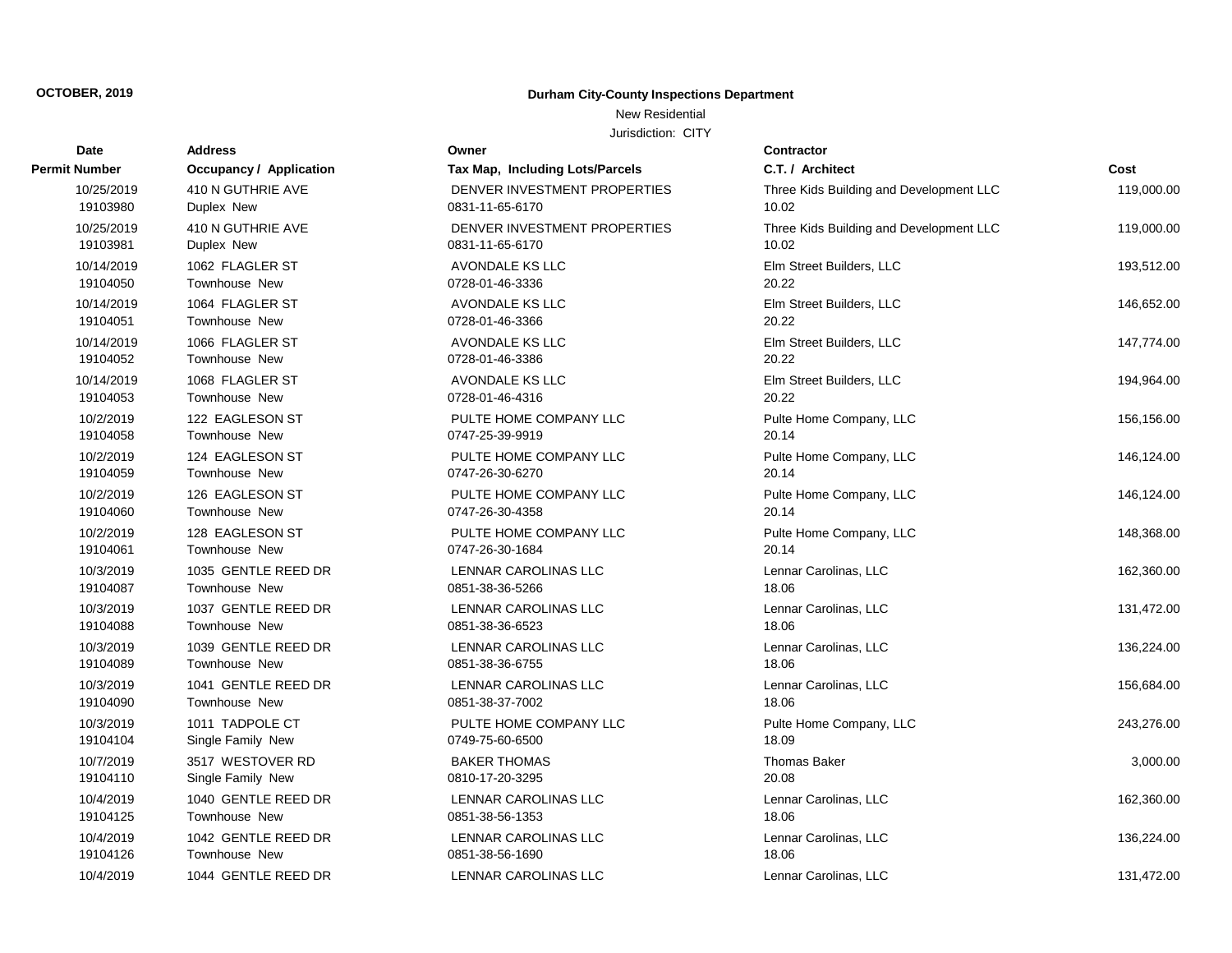New Residential

| Date                 | <b>Address</b>                 | Owner                           | Contractor                              |            |
|----------------------|--------------------------------|---------------------------------|-----------------------------------------|------------|
| <b>Permit Number</b> | <b>Occupancy / Application</b> | Tax Map, Including Lots/Parcels | C.T. / Architect                        | Cost       |
| 10/25/2019           | 410 N GUTHRIE AVE              | DENVER INVESTMENT PROPERTIES    | Three Kids Building and Development LLC | 119,000.00 |
| 19103980             | Duplex New                     | 0831-11-65-6170                 | 10.02                                   |            |
| 10/25/2019           | 410 N GUTHRIE AVE              | DENVER INVESTMENT PROPERTIES    | Three Kids Building and Development LLC | 119,000.00 |
| 19103981             | Duplex New                     | 0831-11-65-6170                 | 10.02                                   |            |
| 10/14/2019           | 1062 FLAGLER ST                | AVONDALE KS LLC                 | Elm Street Builders, LLC                | 193,512.00 |
| 19104050             | <b>Townhouse New</b>           | 0728-01-46-3336                 | 20.22                                   |            |
| 10/14/2019           | 1064 FLAGLER ST                | AVONDALE KS LLC                 | Elm Street Builders, LLC                | 146,652.00 |
| 19104051             | Townhouse New                  | 0728-01-46-3366                 | 20.22                                   |            |
| 10/14/2019           | 1066 FLAGLER ST                | AVONDALE KS LLC                 | Elm Street Builders, LLC                | 147,774.00 |
| 19104052             | Townhouse New                  | 0728-01-46-3386                 | 20.22                                   |            |
| 10/14/2019           | 1068 FLAGLER ST                | AVONDALE KS LLC                 | Elm Street Builders, LLC                | 194,964.00 |
| 19104053             | Townhouse New                  | 0728-01-46-4316                 | 20.22                                   |            |
| 10/2/2019            | 122 EAGLESON ST                | PULTE HOME COMPANY LLC          | Pulte Home Company, LLC                 | 156,156.00 |
| 19104058             | Townhouse New                  | 0747-25-39-9919                 | 20.14                                   |            |
| 10/2/2019            | 124 EAGLESON ST                | PULTE HOME COMPANY LLC          | Pulte Home Company, LLC                 | 146,124.00 |
| 19104059             | Townhouse New                  | 0747-26-30-6270                 | 20.14                                   |            |
| 10/2/2019            | 126 EAGLESON ST                | PULTE HOME COMPANY LLC          | Pulte Home Company, LLC                 | 146,124.00 |
| 19104060             | Townhouse New                  | 0747-26-30-4358                 | 20.14                                   |            |
| 10/2/2019            | 128 EAGLESON ST                | PULTE HOME COMPANY LLC          | Pulte Home Company, LLC                 | 148,368.00 |
| 19104061             | Townhouse New                  | 0747-26-30-1684                 | 20.14                                   |            |
| 10/3/2019            | 1035 GENTLE REED DR            | LENNAR CAROLINAS LLC            | Lennar Carolinas, LLC                   | 162,360.00 |
| 19104087             | Townhouse New                  | 0851-38-36-5266                 | 18.06                                   |            |
| 10/3/2019            | 1037 GENTLE REED DR            | LENNAR CAROLINAS LLC            | Lennar Carolinas, LLC                   | 131,472.00 |
| 19104088             | Townhouse New                  | 0851-38-36-6523                 | 18.06                                   |            |
| 10/3/2019            | 1039 GENTLE REED DR            | LENNAR CAROLINAS LLC            | Lennar Carolinas, LLC                   | 136,224.00 |
| 19104089             | Townhouse New                  | 0851-38-36-6755                 | 18.06                                   |            |
| 10/3/2019            | 1041 GENTLE REED DR            | LENNAR CAROLINAS LLC            | Lennar Carolinas, LLC                   | 156,684.00 |
| 19104090             | Townhouse New                  | 0851-38-37-7002                 | 18.06                                   |            |
| 10/3/2019            | 1011 TADPOLE CT                | PULTE HOME COMPANY LLC          | Pulte Home Company, LLC                 | 243,276.00 |
| 19104104             | Single Family New              | 0749-75-60-6500                 | 18.09                                   |            |
| 10/7/2019            | 3517 WESTOVER RD               | <b>BAKER THOMAS</b>             | <b>Thomas Baker</b>                     | 3,000.00   |
| 19104110             | Single Family New              | 0810-17-20-3295                 | 20.08                                   |            |
| 10/4/2019            | 1040 GENTLE REED DR            | LENNAR CAROLINAS LLC            | Lennar Carolinas, LLC                   | 162,360.00 |
| 19104125             | Townhouse New                  | 0851-38-56-1353                 | 18.06                                   |            |
| 10/4/2019            | 1042 GENTLE REED DR            | LENNAR CAROLINAS LLC            | Lennar Carolinas, LLC                   | 136,224.00 |
| 19104126             | Townhouse New                  | 0851-38-56-1690                 | 18.06                                   |            |
| 10/4/2019            | 1044 GENTLE REED DR            | <b>LENNAR CAROLINAS LLC</b>     | Lennar Carolinas, LLC                   | 131,472.00 |

| Owner                                           |
|-------------------------------------------------|
| Tax Map, Including Lots/Parcels                 |
| DENVER INVESTMENT PROPERTIES<br>0831-11-65-6170 |
| DENVER INVESTMENT PROPERTIES<br>0831-11-65-6170 |
| AVONDALE KS LLC<br>0728-01-46-3336              |
| AVONDALE KS LLC<br>0728-01-46-3366              |
| <b>AVONDALE KS LLC</b><br>0728-01-46-3386       |
| AVONDALE KS LLC<br>0728-01-46-4316              |
| PULTE HOME COMPANY LLC<br>0747-25-39-9919       |
| PULTE HOME COMPANY LLC<br>0747-26-30-6270       |
| PULTE HOME COMPANY LLC<br>0747-26-30-4358       |
| PULTE HOME COMPANY LLC<br>0747-26-30-1684       |
| LENNAR CAROLINAS LLC<br>0851-38-36-5266         |
| <b>LENNAR CAROLINAS LLC</b><br>0851-38-36-6523  |
| LENNAR CAROLINAS LLC<br>0851-38-36-6755         |
| LENNAR CAROLINAS LLC<br>0851-38-37-7002         |
| PULTE HOME COMPANY LLC<br>0749-75-60-6500       |
| <b>BAKER THOMAS</b><br>0810-17-20-3295          |
| <b>LENNAR CAROLINAS LLC</b><br>0851-38-56-1353  |
| LENNAR CAROLINAS LLC<br>0851-38-56-1690         |
| LENNAR CAROLINAS LLC                            |

| Number     | <b>Occupancy / Application</b> | Tax Map, Including Lots/Parcels | C.T. / Architect                        | Cost       |
|------------|--------------------------------|---------------------------------|-----------------------------------------|------------|
| 10/25/2019 | 410 N GUTHRIE AVE              | DENVER INVESTMENT PROPERTIES    | Three Kids Building and Development LLC | 119,000.00 |
| 19103980   | Duplex New                     | 0831-11-65-6170                 | 10.02                                   |            |
| 10/25/2019 | 410 N GUTHRIE AVE              | DENVER INVESTMENT PROPERTIES    | Three Kids Building and Development LLC | 119,000.00 |
| 19103981   | Duplex New                     | 0831-11-65-6170                 | 10.02                                   |            |
| 10/14/2019 | 1062 FLAGLER ST                | AVONDALE KS LLC                 | Elm Street Builders, LLC                | 193,512.00 |
| 19104050   | <b>Townhouse New</b>           | 0728-01-46-3336                 | 20.22                                   |            |
| 10/14/2019 | 1064 FLAGLER ST                | AVONDALE KS LLC                 | Elm Street Builders, LLC                | 146,652.00 |
| 19104051   | Townhouse New                  | 0728-01-46-3366                 | 20.22                                   |            |
| 10/14/2019 | 1066 FLAGLER ST                | AVONDALE KS LLC                 | Elm Street Builders, LLC                | 147,774.00 |
| 19104052   | Townhouse New                  | 0728-01-46-3386                 | 20.22                                   |            |
| 10/14/2019 | 1068 FLAGLER ST                | AVONDALE KS LLC                 | Elm Street Builders, LLC                | 194,964.00 |
| 19104053   | Townhouse New                  | 0728-01-46-4316                 | 20.22                                   |            |
| 10/2/2019  | 122 EAGLESON ST                | PULTE HOME COMPANY LLC          | Pulte Home Company, LLC                 | 156,156.00 |
| 19104058   | Townhouse New                  | 0747-25-39-9919                 | 20.14                                   |            |
| 10/2/2019  | 124 EAGLESON ST                | PULTE HOME COMPANY LLC          | Pulte Home Company, LLC                 | 146,124.00 |
| 19104059   | Townhouse New                  | 0747-26-30-6270                 | 20.14                                   |            |
| 10/2/2019  | 126 EAGLESON ST                | PULTE HOME COMPANY LLC          | Pulte Home Company, LLC                 | 146,124.00 |
| 19104060   | Townhouse New                  | 0747-26-30-4358                 | 20.14                                   |            |
| 10/2/2019  | 128 EAGLESON ST                | PULTE HOME COMPANY LLC          | Pulte Home Company, LLC                 | 148,368.00 |
| 19104061   | Townhouse New                  | 0747-26-30-1684                 | 20.14                                   |            |
| 10/3/2019  | 1035 GENTLE REED DR            | LENNAR CAROLINAS LLC            | Lennar Carolinas, LLC                   | 162,360.00 |
| 19104087   | Townhouse New                  | 0851-38-36-5266                 | 18.06                                   |            |
| 10/3/2019  | 1037 GENTLE REED DR            | LENNAR CAROLINAS LLC            | Lennar Carolinas, LLC                   | 131,472.00 |
| 19104088   | Townhouse New                  | 0851-38-36-6523                 | 18.06                                   |            |
| 10/3/2019  | 1039 GENTLE REED DR            | LENNAR CAROLINAS LLC            | Lennar Carolinas, LLC                   | 136,224.00 |
| 19104089   | Townhouse New                  | 0851-38-36-6755                 | 18.06                                   |            |
| 10/3/2019  | 1041 GENTLE REED DR            | LENNAR CAROLINAS LLC            | Lennar Carolinas, LLC                   | 156,684.00 |
| 19104090   | Townhouse New                  | 0851-38-37-7002                 | 18.06                                   |            |
| 10/3/2019  | 1011 TADPOLE CT                | PULTE HOME COMPANY LLC          | Pulte Home Company, LLC                 | 243,276.00 |
| 19104104   | Single Family New              | 0749-75-60-6500                 | 18.09                                   |            |
| 10/7/2019  | 3517 WESTOVER RD               | <b>BAKER THOMAS</b>             | Thomas Baker                            | 3,000.00   |
| 19104110   | Single Family New              | 0810-17-20-3295                 | 20.08                                   |            |
| 10/4/2019  | 1040 GENTLE REED DR            | LENNAR CAROLINAS LLC            | Lennar Carolinas, LLC                   | 162,360.00 |
| 19104125   | Townhouse New                  | 0851-38-56-1353                 | 18.06                                   |            |
| 10/4/2019  | 1042 GENTLE REED DR            | LENNAR CAROLINAS LLC            | Lennar Carolinas, LLC                   | 136,224.00 |
| 19104126   | Townhouse New                  | 0851-38-56-1690                 | 18.06                                   |            |
| 1011/2010  | 1044 CENTLE DEED DD            | <b>I ENNIAD CADOLINIAC LLC</b>  | Lonner Carolings LLC                    | 121.47200  |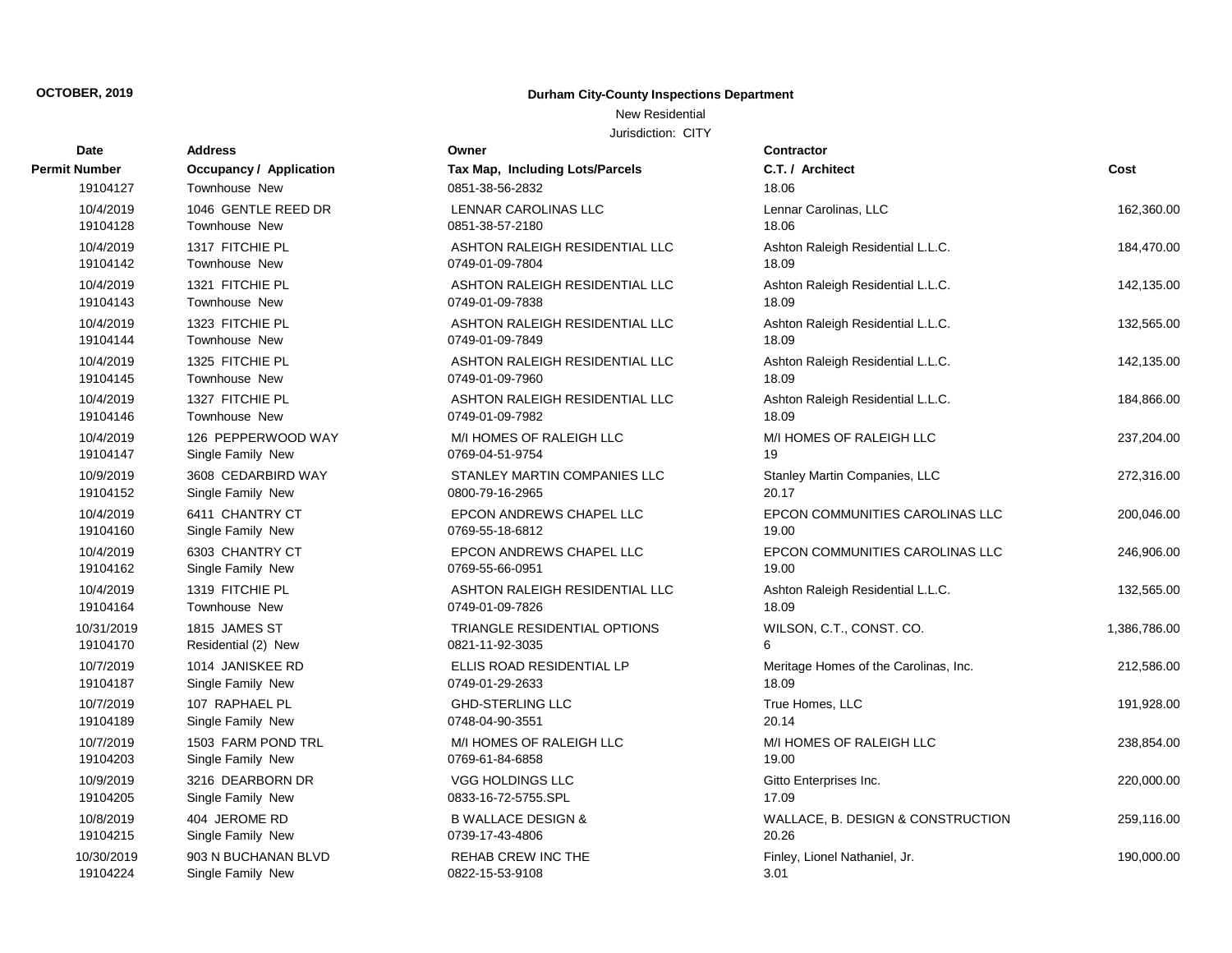### New Residential

| Date          | <b>Address</b>                 | Owner                           | Contractor                            |              |
|---------------|--------------------------------|---------------------------------|---------------------------------------|--------------|
| Permit Number | <b>Occupancy / Application</b> | Tax Map, Including Lots/Parcels | C.T. / Architect                      | Cost         |
| 19104127      | Townhouse New                  | 0851-38-56-2832                 | 18.06                                 |              |
| 10/4/2019     | 1046 GENTLE REED DR            | <b>LENNAR CAROLINAS LLC</b>     | Lennar Carolinas, LLC                 | 162,360.00   |
| 19104128      | Townhouse New                  | 0851-38-57-2180                 | 18.06                                 |              |
| 10/4/2019     | 1317 FITCHIE PL                | ASHTON RALEIGH RESIDENTIAL LLC  | Ashton Raleigh Residential L.L.C.     | 184,470.00   |
| 19104142      | Townhouse New                  | 0749-01-09-7804                 | 18.09                                 |              |
| 10/4/2019     | 1321 FITCHIE PL                | ASHTON RALEIGH RESIDENTIAL LLC  | Ashton Raleigh Residential L.L.C.     | 142,135.00   |
| 19104143      | Townhouse New                  | 0749-01-09-7838                 | 18.09                                 |              |
| 10/4/2019     | 1323 FITCHIE PL                | ASHTON RALEIGH RESIDENTIAL LLC  | Ashton Raleigh Residential L.L.C.     | 132,565.00   |
| 19104144      | Townhouse New                  | 0749-01-09-7849                 | 18.09                                 |              |
| 10/4/2019     | 1325 FITCHIE PL                | ASHTON RALEIGH RESIDENTIAL LLC  | Ashton Raleigh Residential L.L.C.     | 142,135.00   |
| 19104145      | Townhouse New                  | 0749-01-09-7960                 | 18.09                                 |              |
| 10/4/2019     | 1327 FITCHIE PL                | ASHTON RALEIGH RESIDENTIAL LLC  | Ashton Raleigh Residential L.L.C.     | 184,866.00   |
| 19104146      | Townhouse New                  | 0749-01-09-7982                 | 18.09                                 |              |
| 10/4/2019     | 126 PEPPERWOOD WAY             | M/I HOMES OF RALEIGH LLC        | M/I HOMES OF RALEIGH LLC              | 237,204.00   |
| 19104147      | Single Family New              | 0769-04-51-9754                 | 19                                    |              |
| 10/9/2019     | 3608 CEDARBIRD WAY             | STANLEY MARTIN COMPANIES LLC    | Stanley Martin Companies, LLC         | 272,316.00   |
| 19104152      | Single Family New              | 0800-79-16-2965                 | 20.17                                 |              |
| 10/4/2019     | 6411 CHANTRY CT                | EPCON ANDREWS CHAPEL LLC        | EPCON COMMUNITIES CAROLINAS LLC       | 200,046.00   |
| 19104160      | Single Family New              | 0769-55-18-6812                 | 19.00                                 |              |
| 10/4/2019     | 6303 CHANTRY CT                | EPCON ANDREWS CHAPEL LLC        | EPCON COMMUNITIES CAROLINAS LLC       | 246,906.00   |
| 19104162      | Single Family New              | 0769-55-66-0951                 | 19.00                                 |              |
| 10/4/2019     | 1319 FITCHIE PL                | ASHTON RALEIGH RESIDENTIAL LLC  | Ashton Raleigh Residential L.L.C.     | 132,565.00   |
| 19104164      | Townhouse New                  | 0749-01-09-7826                 | 18.09                                 |              |
| 10/31/2019    | 1815 JAMES ST                  | TRIANGLE RESIDENTIAL OPTIONS    | WILSON, C.T., CONST. CO.              | 1,386,786.00 |
| 19104170      | Residential (2) New            | 0821-11-92-3035                 | 6                                     |              |
| 10/7/2019     | 1014 JANISKEE RD               | ELLIS ROAD RESIDENTIAL LP       | Meritage Homes of the Carolinas, Inc. | 212,586.00   |
| 19104187      | Single Family New              | 0749-01-29-2633                 | 18.09                                 |              |
| 10/7/2019     | 107 RAPHAEL PL                 | <b>GHD-STERLING LLC</b>         | True Homes, LLC                       | 191,928.00   |
| 19104189      | Single Family New              | 0748-04-90-3551                 | 20.14                                 |              |
| 10/7/2019     | 1503 FARM POND TRL             | M/I HOMES OF RALEIGH LLC        | M/I HOMES OF RALEIGH LLC              | 238,854.00   |
| 19104203      | Single Family New              | 0769-61-84-6858                 | 19.00                                 |              |
| 10/9/2019     | 3216 DEARBORN DR               | VGG HOLDINGS LLC                | Gitto Enterprises Inc.                | 220,000.00   |
| 19104205      | Single Family New              | 0833-16-72-5755.SPL             | 17.09                                 |              |
| 10/8/2019     | 404 JEROME RD                  | <b>B WALLACE DESIGN &amp;</b>   | WALLACE, B. DESIGN & CONSTRUCTION     | 259,116.00   |
| 19104215      | Single Family New              | 0739-17-43-4806                 | 20.26                                 |              |
| 10/30/2019    | 903 N BUCHANAN BLVD            | <b>REHAB CREW INC THE</b>       | Finley, Lionel Nathaniel, Jr.         | 190,000.00   |
| 19104224      | Single Family New              | 0822-15-53-9108                 | 3.01                                  |              |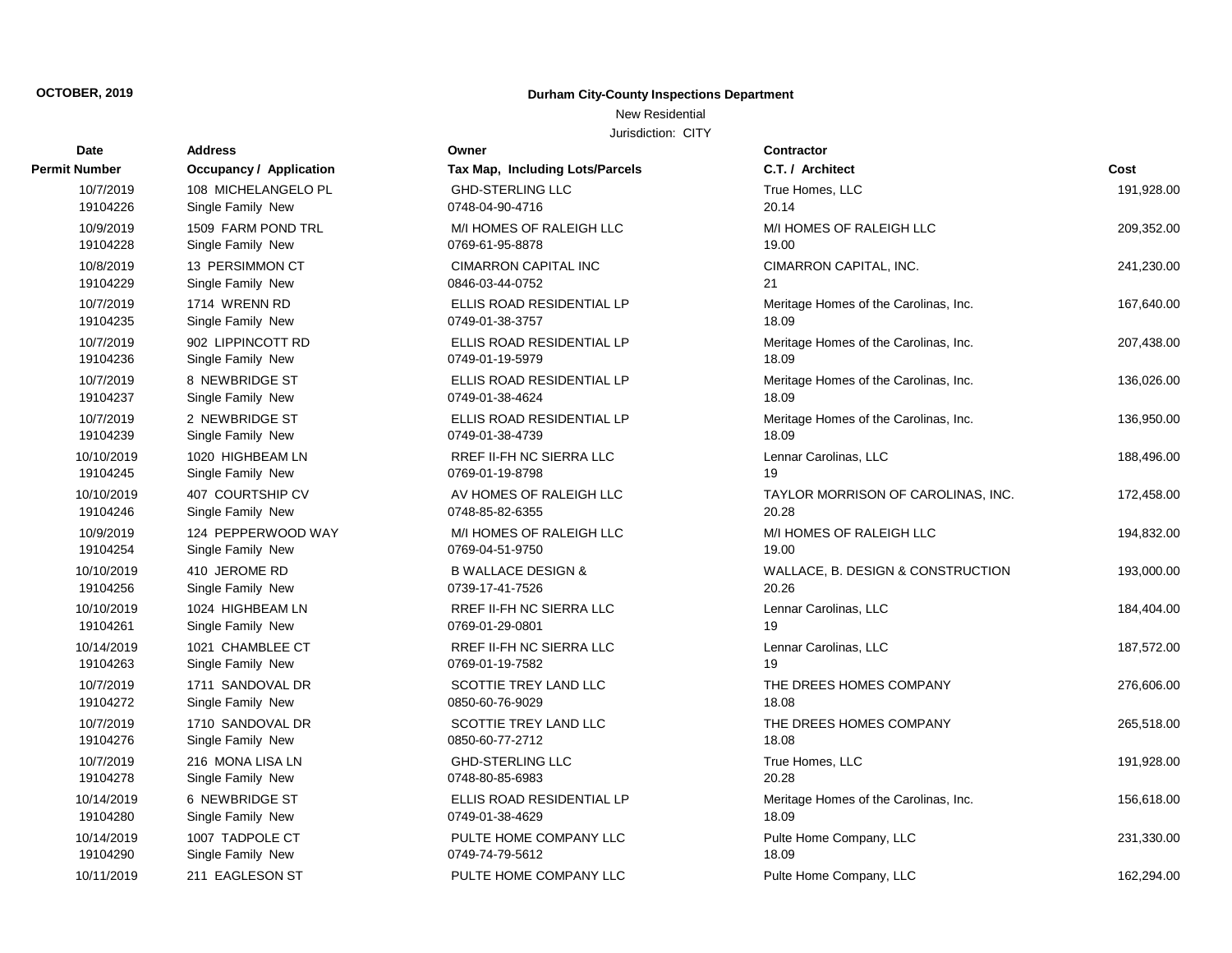### New Residential

Jurisdiction: CITY

| Date                   | <b>Address</b>                       | Owner                                        | Contractor                |
|------------------------|--------------------------------------|----------------------------------------------|---------------------------|
| Permit Number          | <b>Occupancy / Application</b>       | Tax Map, Including Lots/Parcels              | C.T. / Arch               |
| 10/7/2019              | 108 MICHELANGELO PL                  | <b>GHD-STERLING LLC</b>                      | <b>True Home</b>          |
| 19104226               | Single Family New                    | 0748-04-90-4716                              | 20.14                     |
| 10/9/2019              | 1509 FARM POND TRL                   | M/I HOMES OF RALEIGH LLC                     | M/I HOMES                 |
| 19104228               | Single Family New                    | 0769-61-95-8878                              | 19.00                     |
| 10/8/2019              | 13 PERSIMMON CT                      | <b>CIMARRON CAPITAL INC</b>                  | <b>CIMARRON</b>           |
| 19104229               | Single Family New                    | 0846-03-44-0752                              | 21                        |
| 10/7/2019              | 1714 WRENN RD                        | ELLIS ROAD RESIDENTIAL LP                    | Meritage H                |
| 19104235               | Single Family New                    | 0749-01-38-3757                              | 18.09                     |
| 10/7/2019              | 902 LIPPINCOTT RD                    | ELLIS ROAD RESIDENTIAL LP                    | Meritage H                |
| 19104236               | Single Family New                    | 0749-01-19-5979                              | 18.09                     |
| 10/7/2019              | 8 NEWBRIDGE ST                       | ELLIS ROAD RESIDENTIAL LP                    | Meritage H                |
| 19104237               | Single Family New                    | 0749-01-38-4624                              | 18.09                     |
| 10/7/2019              | 2 NEWBRIDGE ST                       | ELLIS ROAD RESIDENTIAL LP                    | Meritage H                |
| 19104239               | Single Family New                    | 0749-01-38-4739                              | 18.09                     |
| 10/10/2019             | 1020 HIGHBEAM LN                     | RREF II-FH NC SIERRA LLC                     | Lennar Car                |
| 19104245               | Single Family New                    | 0769-01-19-8798                              | 19                        |
| 10/10/2019             | 407 COURTSHIP CV                     | AV HOMES OF RALEIGH LLC                      | <b>TAYLOR M</b>           |
| 19104246               | Single Family New                    | 0748-85-82-6355                              | 20.28                     |
| 10/9/2019              | 124 PEPPERWOOD WAY                   | M/I HOMES OF RALEIGH LLC                     | M/I HOMES                 |
| 19104254               | Single Family New                    | 0769-04-51-9750                              | 19.00                     |
| 10/10/2019             | 410 JEROME RD                        | <b>B WALLACE DESIGN &amp;</b>                | WALLACE,                  |
| 19104256               | Single Family New                    | 0739-17-41-7526                              | 20.26                     |
| 10/10/2019             | 1024 HIGHBEAM LN                     | RREF II-FH NC SIERRA LLC                     | Lennar Car                |
| 19104261               | Single Family New                    | 0769-01-29-0801                              | 19                        |
| 10/14/2019             | 1021 CHAMBLEE CT                     | RREF II-FH NC SIERRA LLC                     | Lennar Car                |
| 19104263               | Single Family New                    | 0769-01-19-7582                              | 19                        |
| 10/7/2019              | 1711 SANDOVAL DR                     | SCOTTIE TREY LAND LLC                        | THE DREE                  |
| 19104272               | Single Family New                    | 0850-60-76-9029                              | 18.08                     |
| 10/7/2019              | 1710 SANDOVAL DR                     | SCOTTIE TREY LAND LLC                        | THE DREE<br>18.08         |
| 19104276               | Single Family New                    | 0850-60-77-2712                              |                           |
| 10/7/2019              | 216 MONA LISA LN                     | <b>GHD-STERLING LLC</b>                      | <b>True Home</b><br>20.28 |
| 19104278               | Single Family New                    | 0748-80-85-6983                              |                           |
| 10/14/2019<br>19104280 | 6 NEWBRIDGE ST<br>Single Family New  | ELLIS ROAD RESIDENTIAL LP<br>0749-01-38-4629 | Meritage Ho<br>18.09      |
|                        |                                      |                                              |                           |
| 10/14/2019<br>19104290 | 1007 TADPOLE CT<br>Single Family New | PULTE HOME COMPANY LLC<br>0749-74-79-5612    | Pulte Home<br>18.09       |
|                        |                                      |                                              |                           |
| 10/11/2019             | 211 EAGLESON ST                      | PULTE HOME COMPANY LLC                       | Pulte Home                |

| Tax Map, Including Lots/Parcels                    |
|----------------------------------------------------|
| <b>GHD-STERLING LLC</b><br>0748-04-90-4716         |
| M/I HOMES OF RALEIGH LLC<br>0769-61-95-8878        |
| <b>CIMARRON CAPITAL INC</b><br>0846-03-44-0752     |
| ELLIS ROAD RESIDENTIAL LP<br>0749-01-38-3757       |
| ELLIS ROAD RESIDENTIAL LP<br>0749-01-19-5979       |
| ELLIS ROAD RESIDENTIAL LP<br>0749-01-38-4624       |
| ELLIS ROAD RESIDENTIAL LP<br>0749-01-38-4739       |
| RREF II-FH NC SIERRA LLC<br>0769-01-19-8798        |
| AV HOMES OF RALEIGH LLC<br>0748-85-82-6355         |
| M/I HOMES OF RALEIGH LLC<br>0769-04-51-9750        |
| <b>B WALLACE DESIGN &amp;</b><br>0739-17-41-7526   |
| RREF II-FH NC SIERRA LLC<br>0769-01-29-0801        |
| <b>RREF II-FH NC SIERRA LLC</b><br>0769-01-19-7582 |
| SCOTTIE TREY LAND LLC<br>0850-60-76-9029           |
| SCOTTIE TREY LAND LLC<br>0850-60-77-2712           |
| <b>GHD-STERLING LLC</b><br>0748-80-85-6983         |
| ELLIS ROAD RESIDENTIAL LP<br>0749-01-38-4629       |
| PULTE HOME COMPANY LLC<br>0749-74-79-5612          |
| PULTE HOME COMPANY LLC                             |

**Owner** 

| Number     | <b>Occupancy / Application</b> | Tax Map, Including Lots/Parcels | C.T. / Architect                      | Cost       |
|------------|--------------------------------|---------------------------------|---------------------------------------|------------|
| 10/7/2019  | 108 MICHELANGELO PL            | <b>GHD-STERLING LLC</b>         | True Homes, LLC                       | 191,928.00 |
| 19104226   | Single Family New              | 0748-04-90-4716                 | 20.14                                 |            |
| 10/9/2019  | 1509 FARM POND TRL             | M/I HOMES OF RALEIGH LLC        | M/I HOMES OF RALEIGH LLC              | 209,352.00 |
| 19104228   | Single Family New              | 0769-61-95-8878                 | 19.00                                 |            |
| 10/8/2019  | 13 PERSIMMON CT                | <b>CIMARRON CAPITAL INC</b>     | CIMARRON CAPITAL, INC.                | 241,230.00 |
| 19104229   | Single Family New              | 0846-03-44-0752                 | 21                                    |            |
| 10/7/2019  | 1714 WRENN RD                  | ELLIS ROAD RESIDENTIAL LP       | Meritage Homes of the Carolinas, Inc. | 167,640.00 |
| 19104235   | Single Family New              | 0749-01-38-3757                 | 18.09                                 |            |
| 10/7/2019  | 902 LIPPINCOTT RD              | ELLIS ROAD RESIDENTIAL LP       | Meritage Homes of the Carolinas, Inc. | 207,438.00 |
| 19104236   | Single Family New              | 0749-01-19-5979                 | 18.09                                 |            |
| 10/7/2019  | 8 NEWBRIDGE ST                 | ELLIS ROAD RESIDENTIAL LP       | Meritage Homes of the Carolinas, Inc. | 136,026.00 |
| 19104237   | Single Family New              | 0749-01-38-4624                 | 18.09                                 |            |
| 10/7/2019  | 2 NEWBRIDGE ST                 | ELLIS ROAD RESIDENTIAL LP       | Meritage Homes of the Carolinas, Inc. | 136,950.00 |
| 19104239   | Single Family New              | 0749-01-38-4739                 | 18.09                                 |            |
| 10/10/2019 | 1020 HIGHBEAM LN               | RREF II-FH NC SIERRA LLC        | Lennar Carolinas, LLC                 | 188,496.00 |
| 19104245   | Single Family New              | 0769-01-19-8798                 | 19                                    |            |
| 10/10/2019 | 407 COURTSHIP CV               | AV HOMES OF RALEIGH LLC         | TAYLOR MORRISON OF CAROLINAS, INC.    | 172,458.00 |
| 19104246   | Single Family New              | 0748-85-82-6355                 | 20.28                                 |            |
| 10/9/2019  | 124 PEPPERWOOD WAY             | M/I HOMES OF RALEIGH LLC        | M/I HOMES OF RALEIGH LLC              | 194,832.00 |
| 19104254   | Single Family New              | 0769-04-51-9750                 | 19.00                                 |            |
| 10/10/2019 | 410 JEROME RD                  | <b>B WALLACE DESIGN &amp;</b>   | WALLACE, B. DESIGN & CONSTRUCTION     | 193,000.00 |
| 19104256   | Single Family New              | 0739-17-41-7526                 | 20.26                                 |            |
| 10/10/2019 | 1024 HIGHBEAM LN               | RREF II-FH NC SIERRA LLC        | Lennar Carolinas, LLC                 | 184,404.00 |
| 19104261   | Single Family New              | 0769-01-29-0801                 | 19                                    |            |
| 10/14/2019 | 1021 CHAMBLEE CT               | RREF II-FH NC SIERRA LLC        | Lennar Carolinas, LLC                 | 187,572.00 |
| 19104263   | Single Family New              | 0769-01-19-7582                 | 19                                    |            |
| 10/7/2019  | 1711 SANDOVAL DR               | SCOTTIE TREY LAND LLC           | THE DREES HOMES COMPANY               | 276,606.00 |
| 19104272   | Single Family New              | 0850-60-76-9029                 | 18.08                                 |            |
| 10/7/2019  | 1710 SANDOVAL DR               | SCOTTIE TREY LAND LLC           | THE DREES HOMES COMPANY               | 265,518.00 |
| 19104276   | Single Family New              | 0850-60-77-2712                 | 18.08                                 |            |
| 10/7/2019  | 216 MONA LISA LN               | <b>GHD-STERLING LLC</b>         | True Homes, LLC                       | 191,928.00 |
| 19104278   | Single Family New              | 0748-80-85-6983                 | 20.28                                 |            |
| 10/14/2019 | 6 NEWBRIDGE ST                 | ELLIS ROAD RESIDENTIAL LP       | Meritage Homes of the Carolinas, Inc. | 156,618.00 |
| 19104280   | Single Family New              | 0749-01-38-4629                 | 18.09                                 |            |
| 10/14/2019 | 1007 TADPOLE CT                | PULTE HOME COMPANY LLC          | Pulte Home Company, LLC               | 231,330.00 |
| 19104290   | Single Family New              | 0749-74-79-5612                 | 18.09                                 |            |
| 10/11/2019 | 211 EAGLESON ST                | PULTE HOME COMPANY LLC          | Pulte Home Company, LLC               | 162,294.00 |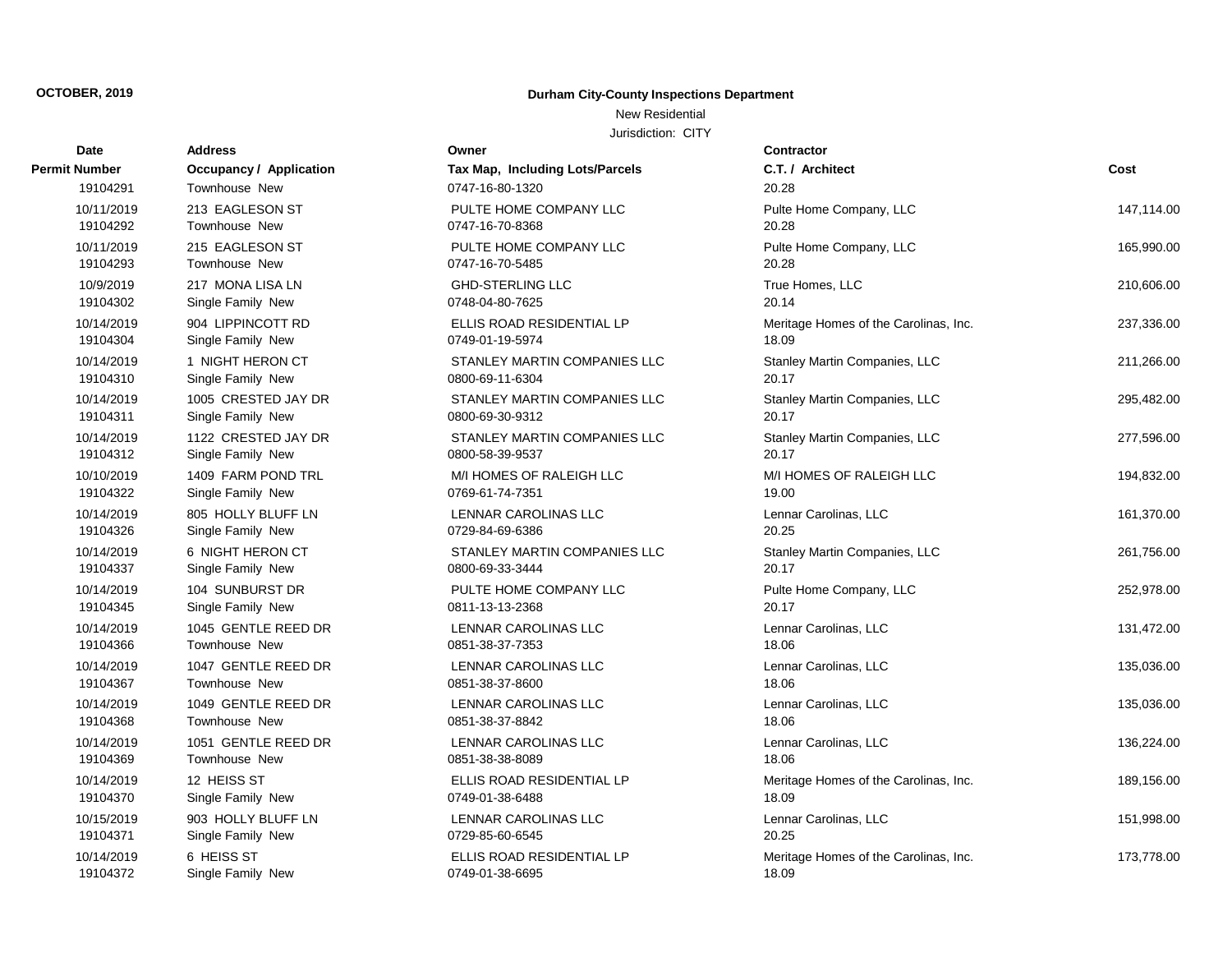### New Residential

| Date                 | <b>Address</b>                 | Owner                                  | <b>Contractor</b>                     |            |
|----------------------|--------------------------------|----------------------------------------|---------------------------------------|------------|
| <b>Permit Number</b> | <b>Occupancy / Application</b> | <b>Tax Map, Including Lots/Parcels</b> | C.T. / Architect                      | Cost       |
| 19104291             | <b>Townhouse New</b>           | 0747-16-80-1320                        | 20.28                                 |            |
| 10/11/2019           | 213 EAGLESON ST                | PULTE HOME COMPANY LLC                 | Pulte Home Company, LLC               | 147,114.00 |
| 19104292             | Townhouse New                  | 0747-16-70-8368                        | 20.28                                 |            |
| 10/11/2019           | 215 EAGLESON ST                | PULTE HOME COMPANY LLC                 | Pulte Home Company, LLC               | 165,990.00 |
| 19104293             | <b>Townhouse New</b>           | 0747-16-70-5485                        | 20.28                                 |            |
| 10/9/2019            | 217 MONA LISA LN               | <b>GHD-STERLING LLC</b>                | True Homes, LLC                       | 210,606.00 |
| 19104302             | Single Family New              | 0748-04-80-7625                        | 20.14                                 |            |
| 10/14/2019           | 904 LIPPINCOTT RD              | ELLIS ROAD RESIDENTIAL LP              | Meritage Homes of the Carolinas, Inc. | 237,336.00 |
| 19104304             | Single Family New              | 0749-01-19-5974                        | 18.09                                 |            |
| 10/14/2019           | 1 NIGHT HERON CT               | STANLEY MARTIN COMPANIES LLC           | Stanley Martin Companies, LLC         | 211,266.00 |
| 19104310             | Single Family New              | 0800-69-11-6304                        | 20.17                                 |            |
| 10/14/2019           | 1005 CRESTED JAY DR            | STANLEY MARTIN COMPANIES LLC           | Stanley Martin Companies, LLC         | 295,482.00 |
| 19104311             | Single Family New              | 0800-69-30-9312                        | 20.17                                 |            |
| 10/14/2019           | 1122 CRESTED JAY DR            | STANLEY MARTIN COMPANIES LLC           | Stanley Martin Companies, LLC         | 277,596.00 |
| 19104312             | Single Family New              | 0800-58-39-9537                        | 20.17                                 |            |
| 10/10/2019           | 1409 FARM POND TRL             | M/I HOMES OF RALEIGH LLC               | M/I HOMES OF RALEIGH LLC              | 194,832.00 |
| 19104322             | Single Family New              | 0769-61-74-7351                        | 19.00                                 |            |
| 10/14/2019           | 805 HOLLY BLUFF LN             | LENNAR CAROLINAS LLC                   | Lennar Carolinas, LLC                 | 161,370.00 |
| 19104326             | Single Family New              | 0729-84-69-6386                        | 20.25                                 |            |
| 10/14/2019           | 6 NIGHT HERON CT               | STANLEY MARTIN COMPANIES LLC           | Stanley Martin Companies, LLC         | 261,756.00 |
| 19104337             | Single Family New              | 0800-69-33-3444                        | 20.17                                 |            |
| 10/14/2019           | 104 SUNBURST DR                | PULTE HOME COMPANY LLC                 | Pulte Home Company, LLC               | 252,978.00 |
| 19104345             | Single Family New              | 0811-13-13-2368                        | 20.17                                 |            |
| 10/14/2019           | 1045 GENTLE REED DR            | LENNAR CAROLINAS LLC                   | Lennar Carolinas, LLC                 | 131,472.00 |
| 19104366             | Townhouse New                  | 0851-38-37-7353                        | 18.06                                 |            |
| 10/14/2019           | 1047 GENTLE REED DR            | LENNAR CAROLINAS LLC                   | Lennar Carolinas, LLC                 | 135,036.00 |
| 19104367             | <b>Townhouse New</b>           | 0851-38-37-8600                        | 18.06                                 |            |
| 10/14/2019           | 1049 GENTLE REED DR            | LENNAR CAROLINAS LLC                   | Lennar Carolinas, LLC                 | 135,036.00 |
| 19104368             | <b>Townhouse New</b>           | 0851-38-37-8842                        | 18.06                                 |            |
| 10/14/2019           | 1051 GENTLE REED DR            | <b>LENNAR CAROLINAS LLC</b>            | Lennar Carolinas, LLC                 | 136,224.00 |
| 19104369             | <b>Townhouse New</b>           | 0851-38-38-8089                        | 18.06                                 |            |
| 10/14/2019           | 12 HEISS ST                    | ELLIS ROAD RESIDENTIAL LP              | Meritage Homes of the Carolinas, Inc. | 189,156.00 |
| 19104370             | Single Family New              | 0749-01-38-6488                        | 18.09                                 |            |
| 10/15/2019           | 903 HOLLY BLUFF LN             | LENNAR CAROLINAS LLC                   | Lennar Carolinas, LLC                 | 151,998.00 |
| 19104371             | Single Family New              | 0729-85-60-6545                        | 20.25                                 |            |
| 10/14/2019           | 6 HEISS ST                     | ELLIS ROAD RESIDENTIAL LP              | Meritage Homes of the Carolinas, Inc. | 173,778.00 |
| 19104372             | Single Family New              | 0749-01-38-6695                        | 18.09                                 |            |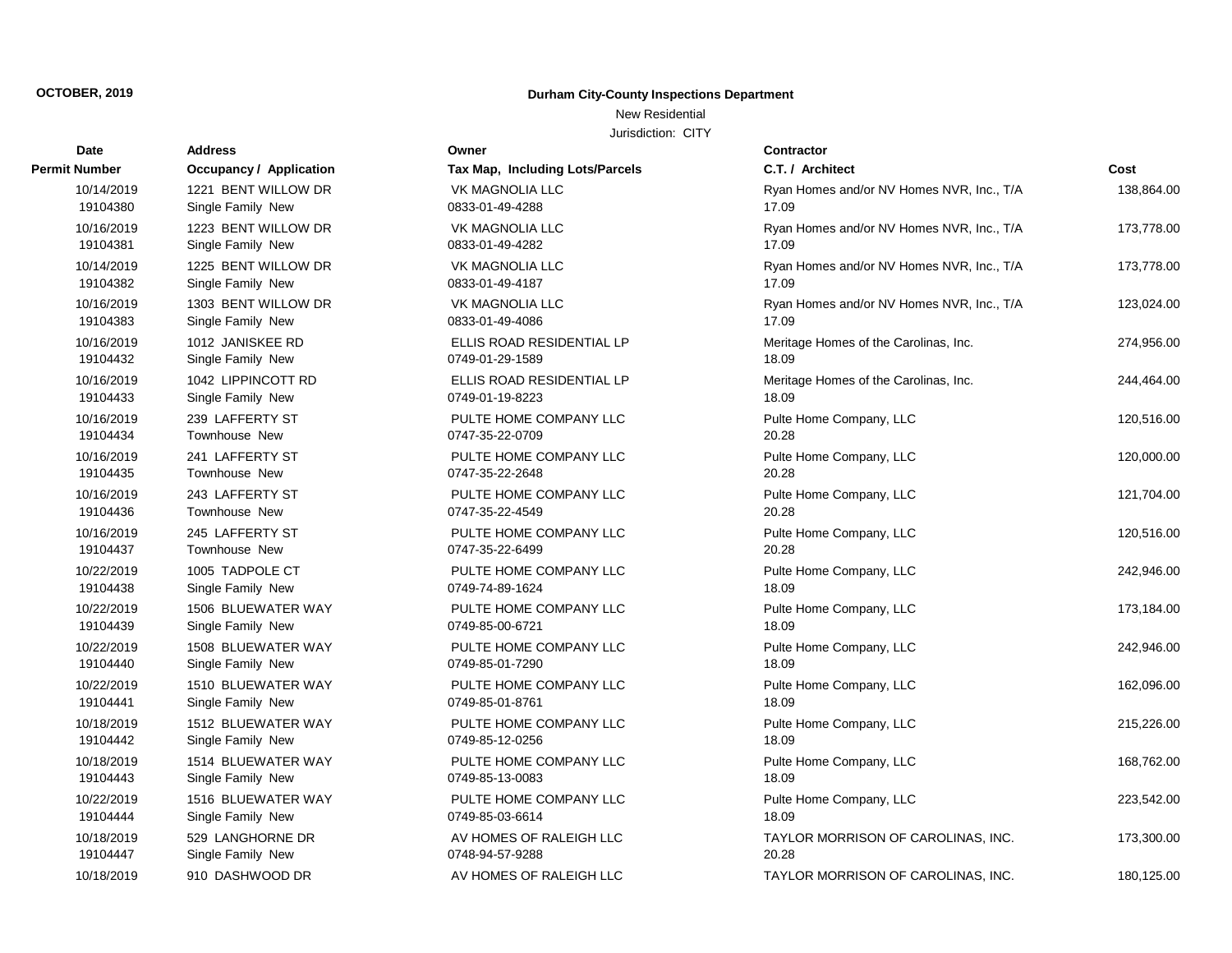New Residential

| <b>Date</b>   | <b>Address</b>                 | Owner                           | Contractor      |
|---------------|--------------------------------|---------------------------------|-----------------|
| Permit Number | <b>Occupancy / Application</b> | Tax Map, Including Lots/Parcels | C.T. / Arch     |
| 10/14/2019    | 1221 BENT WILLOW DR            | <b>VK MAGNOLIA LLC</b>          | Ryan Home       |
| 19104380      | Single Family New              | 0833-01-49-4288                 | 17.09           |
| 10/16/2019    | 1223 BENT WILLOW DR            | <b>VK MAGNOLIA LLC</b>          | Ryan Home       |
| 19104381      | Single Family New              | 0833-01-49-4282                 | 17.09           |
| 10/14/2019    | 1225 BENT WILLOW DR            | <b>VK MAGNOLIA LLC</b>          | Ryan Home       |
| 19104382      | Single Family New              | 0833-01-49-4187                 | 17.09           |
| 10/16/2019    | 1303 BENT WILLOW DR            | <b>VK MAGNOLIA LLC</b>          | Ryan Home       |
| 19104383      | Single Family New              | 0833-01-49-4086                 | 17.09           |
| 10/16/2019    | 1012 JANISKEE RD               | ELLIS ROAD RESIDENTIAL LP       | Meritage H      |
| 19104432      | Single Family New              | 0749-01-29-1589                 | 18.09           |
| 10/16/2019    | 1042 LIPPINCOTT RD             | ELLIS ROAD RESIDENTIAL LP       | Meritage H      |
| 19104433      | Single Family New              | 0749-01-19-8223                 | 18.09           |
| 10/16/2019    | 239 LAFFERTY ST                | PULTE HOME COMPANY LLC          | Pulte Home      |
| 19104434      | Townhouse New                  | 0747-35-22-0709                 | 20.28           |
| 10/16/2019    | 241 LAFFERTY ST                | PULTE HOME COMPANY LLC          | Pulte Home      |
| 19104435      | Townhouse New                  | 0747-35-22-2648                 | 20.28           |
| 10/16/2019    | 243 LAFFERTY ST                | PULTE HOME COMPANY LLC          | Pulte Home      |
| 19104436      | Townhouse New                  | 0747-35-22-4549                 | 20.28           |
| 10/16/2019    | 245 LAFFERTY ST                | PULTE HOME COMPANY LLC          | Pulte Home      |
| 19104437      | Townhouse New                  | 0747-35-22-6499                 | 20.28           |
| 10/22/2019    | 1005 TADPOLE CT                | PULTE HOME COMPANY LLC          | Pulte Home      |
| 19104438      | Single Family New              | 0749-74-89-1624                 | 18.09           |
| 10/22/2019    | 1506 BLUEWATER WAY             | PULTE HOME COMPANY LLC          | Pulte Home      |
| 19104439      | Single Family New              | 0749-85-00-6721                 | 18.09           |
| 10/22/2019    | 1508 BLUEWATER WAY             | PULTE HOME COMPANY LLC          | Pulte Home      |
| 19104440      | Single Family New              | 0749-85-01-7290                 | 18.09           |
| 10/22/2019    | 1510 BLUEWATER WAY             | PULTE HOME COMPANY LLC          | Pulte Home      |
| 19104441      | Single Family New              | 0749-85-01-8761                 | 18.09           |
| 10/18/2019    | 1512 BLUEWATER WAY             | PULTE HOME COMPANY LLC          | Pulte Home      |
| 19104442      | Single Family New              | 0749-85-12-0256                 | 18.09           |
| 10/18/2019    | 1514 BLUEWATER WAY             | PULTE HOME COMPANY LLC          | Pulte Home      |
| 19104443      | Single Family New              | 0749-85-13-0083                 | 18.09           |
| 10/22/2019    | 1516 BLUEWATER WAY             | PULTE HOME COMPANY LLC          | Pulte Home      |
| 19104444      | Single Family New              | 0749-85-03-6614                 | 18.09           |
| 10/18/2019    | 529 LANGHORNE DR               | AV HOMES OF RALEIGH LLC         | <b>TAYLOR M</b> |
| 19104447      | Single Family New              | 0748-94-57-9288                 | 20.28           |
| 10/18/2019    | 910 DASHWOOD DR                | AV HOMES OF RALEIGH LLC         | <b>TAYLOR M</b> |

| <b>Tax Map, Including Lots/Parcels</b>       |
|----------------------------------------------|
| <b>VK MAGNOLIA LLC</b><br>0833-01-49-4288    |
| <b>VK MAGNOLIA LLC</b><br>0833-01-49-4282    |
| <b>VK MAGNOLIA LLC</b><br>0833-01-49-4187    |
| <b>VK MAGNOLIA LLC</b><br>0833-01-49-4086    |
| ELLIS ROAD RESIDENTIAL LP<br>0749-01-29-1589 |
| ELLIS ROAD RESIDENTIAL LP<br>0749-01-19-8223 |
| PULTE HOME COMPANY LLC<br>0747-35-22-0709    |
| PULTE HOME COMPANY LLC<br>0747-35-22-2648    |
| PULTE HOME COMPANY LLC<br>0747-35-22-4549    |
| PULTE HOME COMPANY LLC<br>0747-35-22-6499    |
| PULTE HOME COMPANY LLC<br>0749-74-89-1624    |
| PULTE HOME COMPANY LLC<br>0749-85-00-6721    |
| PULTE HOME COMPANY LLC<br>0749-85-01-7290    |
| PULTE HOME COMPANY LLC<br>0749-85-01-8761    |
| PULTE HOME COMPANY LLC<br>0749-85-12-0256    |
| PULTE HOME COMPANY LLC<br>0749-85-13-0083    |
| PULTE HOME COMPANY LLC<br>0749-85-03-6614    |
| AV HOMES OF RALEIGH LLC<br>0748-94-57-9288   |
| AV HOMES OF RALEIGH LLC                      |

| Number     | <b>Occupancy / Application</b> | Tax Map, Including Lots/Parcels | C.T. / Architect                          | Cost       |
|------------|--------------------------------|---------------------------------|-------------------------------------------|------------|
| 10/14/2019 | 1221 BENT WILLOW DR            | <b>VK MAGNOLIA LLC</b>          | Ryan Homes and/or NV Homes NVR, Inc., T/A | 138,864.00 |
| 19104380   | Single Family New              | 0833-01-49-4288                 | 17.09                                     |            |
| 10/16/2019 | 1223 BENT WILLOW DR            | VK MAGNOLIA LLC                 | Ryan Homes and/or NV Homes NVR, Inc., T/A | 173,778.00 |
| 19104381   | Single Family New              | 0833-01-49-4282                 | 17.09                                     |            |
| 10/14/2019 | 1225 BENT WILLOW DR            | VK MAGNOLIA LLC                 | Ryan Homes and/or NV Homes NVR, Inc., T/A | 173,778.00 |
| 19104382   | Single Family New              | 0833-01-49-4187                 | 17.09                                     |            |
| 10/16/2019 | 1303 BENT WILLOW DR            | VK MAGNOLIA LLC                 | Ryan Homes and/or NV Homes NVR, Inc., T/A | 123,024.00 |
| 19104383   | Single Family New              | 0833-01-49-4086                 | 17.09                                     |            |
| 10/16/2019 | 1012 JANISKEE RD               | ELLIS ROAD RESIDENTIAL LP       | Meritage Homes of the Carolinas, Inc.     | 274,956.00 |
| 19104432   | Single Family New              | 0749-01-29-1589                 | 18.09                                     |            |
| 10/16/2019 | 1042 LIPPINCOTT RD             | ELLIS ROAD RESIDENTIAL LP       | Meritage Homes of the Carolinas, Inc.     | 244,464.00 |
| 19104433   | Single Family New              | 0749-01-19-8223                 | 18.09                                     |            |
| 10/16/2019 | 239 LAFFERTY ST                | PULTE HOME COMPANY LLC          | Pulte Home Company, LLC                   | 120,516.00 |
| 19104434   | <b>Townhouse New</b>           | 0747-35-22-0709                 | 20.28                                     |            |
| 10/16/2019 | 241 LAFFERTY ST                | PULTE HOME COMPANY LLC          | Pulte Home Company, LLC                   | 120,000.00 |
| 19104435   | Townhouse New                  | 0747-35-22-2648                 | 20.28                                     |            |
| 10/16/2019 | 243 LAFFERTY ST                | PULTE HOME COMPANY LLC          | Pulte Home Company, LLC                   | 121,704.00 |
| 19104436   | <b>Townhouse New</b>           | 0747-35-22-4549                 | 20.28                                     |            |
| 10/16/2019 | 245 LAFFERTY ST                | PULTE HOME COMPANY LLC          | Pulte Home Company, LLC                   | 120,516.00 |
| 19104437   | Townhouse New                  | 0747-35-22-6499                 | 20.28                                     |            |
| 10/22/2019 | 1005 TADPOLE CT                | PULTE HOME COMPANY LLC          | Pulte Home Company, LLC                   | 242,946.00 |
| 19104438   | Single Family New              | 0749-74-89-1624                 | 18.09                                     |            |
| 10/22/2019 | 1506 BLUEWATER WAY             | PULTE HOME COMPANY LLC          | Pulte Home Company, LLC                   | 173,184.00 |
| 19104439   | Single Family New              | 0749-85-00-6721                 | 18.09                                     |            |
| 10/22/2019 | 1508 BLUEWATER WAY             | PULTE HOME COMPANY LLC          | Pulte Home Company, LLC                   | 242,946.00 |
| 19104440   | Single Family New              | 0749-85-01-7290                 | 18.09                                     |            |
| 10/22/2019 | 1510 BLUEWATER WAY             | PULTE HOME COMPANY LLC          | Pulte Home Company, LLC                   | 162,096.00 |
| 19104441   | Single Family New              | 0749-85-01-8761                 | 18.09                                     |            |
| 10/18/2019 | 1512 BLUEWATER WAY             | PULTE HOME COMPANY LLC          | Pulte Home Company, LLC                   | 215,226.00 |
| 19104442   | Single Family New              | 0749-85-12-0256                 | 18.09                                     |            |
| 10/18/2019 | 1514 BLUEWATER WAY             | PULTE HOME COMPANY LLC          | Pulte Home Company, LLC                   | 168,762.00 |
| 19104443   | Single Family New              | 0749-85-13-0083                 | 18.09                                     |            |
| 10/22/2019 | 1516 BLUEWATER WAY             | PULTE HOME COMPANY LLC          | Pulte Home Company, LLC                   | 223,542.00 |
| 19104444   | Single Family New              | 0749-85-03-6614                 | 18.09                                     |            |
| 10/18/2019 | 529 LANGHORNE DR               | AV HOMES OF RALEIGH LLC         | TAYLOR MORRISON OF CAROLINAS, INC.        | 173,300.00 |
| 19104447   | Single Family New              | 0748-94-57-9288                 | 20.28                                     |            |
| 10/18/2019 | 910 DASHWOOD DR                | AV HOMES OF RALEIGH LLC         | TAYLOR MORRISON OF CAROLINAS, INC.        | 180,125.00 |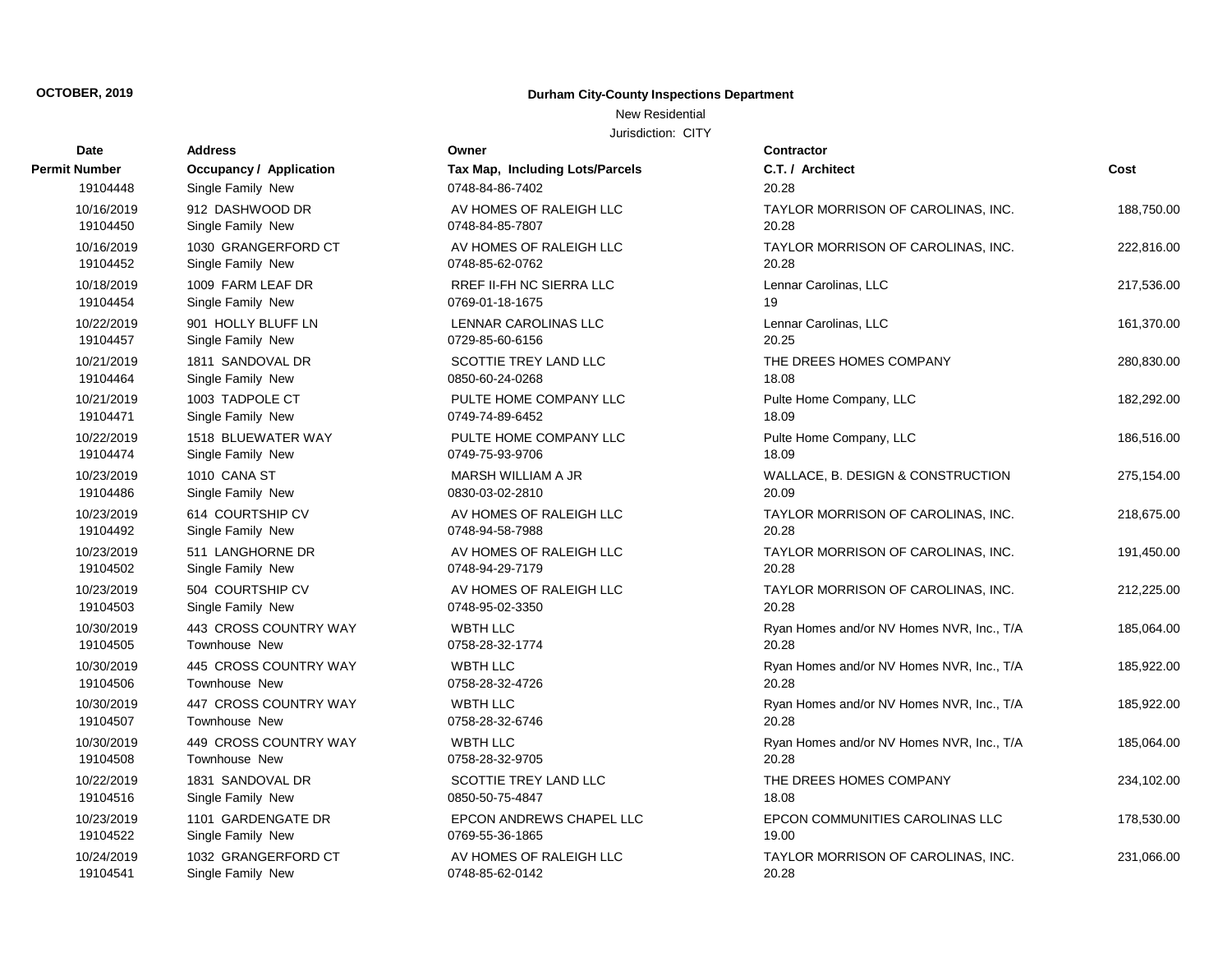### New Residential

| Date          | <b>Address</b>                 | Owner                           | Contractor      |
|---------------|--------------------------------|---------------------------------|-----------------|
| Permit Number | <b>Occupancy / Application</b> | Tax Map, Including Lots/Parcels | C.T. / Arch     |
| 19104448      | Single Family New              | 0748-84-86-7402                 | 20.28           |
| 10/16/2019    | 912 DASHWOOD DR                | AV HOMES OF RALEIGH LLC         | <b>TAYLOR M</b> |
| 19104450      | Single Family New              | 0748-84-85-7807                 | 20.28           |
| 10/16/2019    | 1030 GRANGERFORD CT            | AV HOMES OF RALEIGH LLC         | <b>TAYLOR M</b> |
| 19104452      | Single Family New              | 0748-85-62-0762                 | 20.28           |
| 10/18/2019    | 1009 FARM LEAF DR              | <b>RREF II-FH NC SIERRA LLC</b> | Lennar Car      |
| 19104454      | Single Family New              | 0769-01-18-1675                 | 19              |
| 10/22/2019    | 901 HOLLY BLUFF LN             | LENNAR CAROLINAS LLC            | Lennar Car      |
| 19104457      | Single Family New              | 0729-85-60-6156                 | 20.25           |
| 10/21/2019    | 1811 SANDOVAL DR               | SCOTTIE TREY LAND LLC           | THE DREE        |
| 19104464      | Single Family New              | 0850-60-24-0268                 | 18.08           |
| 10/21/2019    | 1003 TADPOLE CT                | PULTE HOME COMPANY LLC          | Pulte Home      |
| 19104471      | Single Family New              | 0749-74-89-6452                 | 18.09           |
| 10/22/2019    | 1518 BLUEWATER WAY             | PULTE HOME COMPANY LLC          | Pulte Home      |
| 19104474      | Single Family New              | 0749-75-93-9706                 | 18.09           |
| 10/23/2019    | 1010 CANA ST                   | MARSH WILLIAM A JR              | WALLACE,        |
| 19104486      | Single Family New              | 0830-03-02-2810                 | 20.09           |
| 10/23/2019    | 614 COURTSHIP CV               | AV HOMES OF RALEIGH LLC         | <b>TAYLOR M</b> |
| 19104492      | Single Family New              | 0748-94-58-7988                 | 20.28           |
| 10/23/2019    | 511 LANGHORNE DR               | AV HOMES OF RALEIGH LLC         | <b>TAYLOR M</b> |
| 19104502      | Single Family New              | 0748-94-29-7179                 | 20.28           |
| 10/23/2019    | 504 COURTSHIP CV               | AV HOMES OF RALEIGH LLC         | <b>TAYLOR M</b> |
| 19104503      | Single Family New              | 0748-95-02-3350                 | 20.28           |
| 10/30/2019    | 443 CROSS COUNTRY WAY          | <b>WBTH LLC</b>                 | Ryan Home       |
| 19104505      | Townhouse New                  | 0758-28-32-1774                 | 20.28           |
| 10/30/2019    | 445 CROSS COUNTRY WAY          | WBTH LLC                        | Ryan Home       |
| 19104506      | Townhouse New                  | 0758-28-32-4726                 | 20.28           |
| 10/30/2019    | 447 CROSS COUNTRY WAY          | <b>WBTH LLC</b>                 | Ryan Home       |
| 19104507      | Townhouse New                  | 0758-28-32-6746                 | 20.28           |
| 10/30/2019    | 449 CROSS COUNTRY WAY          | <b>WBTH LLC</b>                 | Ryan Home       |
| 19104508      | Townhouse New                  | 0758-28-32-9705                 | 20.28           |
| 10/22/2019    | 1831 SANDOVAL DR               | SCOTTIE TREY LAND LLC           | THE DREE        |
| 19104516      | Single Family New              | 0850-50-75-4847                 | 18.08           |
| 10/23/2019    | 1101 GARDENGATE DR             | EPCON ANDREWS CHAPEL LLC        | <b>EPCON CO</b> |
| 19104522      | Single Family New              | 0769-55-36-1865                 | 19.00           |
| 10/24/2019    | 1032 GRANGERFORD CT            | AV HOMES OF RALEIGH LLC         | <b>TAYLOR M</b> |
| 19104541      | Single Family New              | 0748-85-62-0142                 | 20.28           |

| ៴៴៲៲៴៲                                             |
|----------------------------------------------------|
| Tax Map, Including Lots/Parcels<br>0748-84-86-7402 |
| AV HOMES OF RALEIGH LLC<br>0748-84-85-7807         |
| AV HOMES OF RALEIGH LLC<br>0748-85-62-0762         |
| <b>RREF II-FH NC SIERRA LLC</b><br>0769-01-18-1675 |
| LENNAR CAROLINAS LLC<br>0729-85-60-6156            |
| SCOTTIE TREY LAND LLC<br>0850-60-24-0268           |
| PULTE HOME COMPANY LLC<br>0749-74-89-6452          |
| PULTE HOME COMPANY LLC<br>0749-75-93-9706          |
| MARSH WILLIAM A JR<br>0830-03-02-2810              |
| AV HOMES OF RALEIGH LLC<br>0748-94-58-7988         |
| AV HOMES OF RALEIGH LLC<br>0748-94-29-7179         |
| AV HOMES OF RALEIGH LLC<br>0748-95-02-3350         |
| <b>WBTH LLC</b><br>0758-28-32-1774                 |
| <b>WBTH LLC</b><br>0758-28-32-4726                 |
| <b>WBTH LLC</b><br>0758-28-32-6746                 |
| <b>WBTH LLC</b><br>0758-28-32-9705                 |
| SCOTTIE TREY LAND LLC<br>0850-50-75-4847           |
| <b>EPCON ANDREWS CHAPEL LLC</b><br>0769-55-36-1865 |
| AV HOMES OF RALEIGH LLC<br>0748-85-62-0142         |

| ້          |                         |                                 |                                           |            |
|------------|-------------------------|---------------------------------|-------------------------------------------|------------|
| Number     | Occupancy / Application | Tax Map, Including Lots/Parcels | C.T. / Architect                          | Cost       |
| 19104448   | Single Family New       | 0748-84-86-7402                 | 20.28                                     |            |
| 10/16/2019 | 912 DASHWOOD DR         | AV HOMES OF RALEIGH LLC         | TAYLOR MORRISON OF CAROLINAS, INC.        | 188,750.00 |
| 19104450   | Single Family New       | 0748-84-85-7807                 | 20.28                                     |            |
| 10/16/2019 | 1030 GRANGERFORD CT     | AV HOMES OF RALEIGH LLC         | TAYLOR MORRISON OF CAROLINAS, INC.        | 222,816.00 |
| 19104452   | Single Family New       | 0748-85-62-0762                 | 20.28                                     |            |
| 10/18/2019 | 1009 FARM LEAF DR       | RREF II-FH NC SIERRA LLC        | Lennar Carolinas, LLC                     | 217,536.00 |
| 19104454   | Single Family New       | 0769-01-18-1675                 | 19                                        |            |
| 10/22/2019 | 901 HOLLY BLUFF LN      | LENNAR CAROLINAS LLC            | Lennar Carolinas, LLC                     | 161,370.00 |
| 19104457   | Single Family New       | 0729-85-60-6156                 | 20.25                                     |            |
| 10/21/2019 | 1811 SANDOVAL DR        | SCOTTIE TREY LAND LLC           | THE DREES HOMES COMPANY                   | 280,830.00 |
| 19104464   | Single Family New       | 0850-60-24-0268                 | 18.08                                     |            |
| 10/21/2019 | 1003 TADPOLE CT         | PULTE HOME COMPANY LLC          | Pulte Home Company, LLC                   | 182,292.00 |
| 19104471   | Single Family New       | 0749-74-89-6452                 | 18.09                                     |            |
| 10/22/2019 | 1518 BLUEWATER WAY      | PULTE HOME COMPANY LLC          | Pulte Home Company, LLC                   | 186,516.00 |
| 19104474   | Single Family New       | 0749-75-93-9706                 | 18.09                                     |            |
| 10/23/2019 | 1010 CANA ST            | MARSH WILLIAM A JR              | WALLACE, B. DESIGN & CONSTRUCTION         | 275,154.00 |
| 19104486   | Single Family New       | 0830-03-02-2810                 | 20.09                                     |            |
| 10/23/2019 | 614 COURTSHIP CV        | AV HOMES OF RALEIGH LLC         | TAYLOR MORRISON OF CAROLINAS, INC.        | 218,675.00 |
| 19104492   | Single Family New       | 0748-94-58-7988                 | 20.28                                     |            |
| 10/23/2019 | 511 LANGHORNE DR        | AV HOMES OF RALEIGH LLC         | TAYLOR MORRISON OF CAROLINAS, INC.        | 191,450.00 |
| 19104502   | Single Family New       | 0748-94-29-7179                 | 20.28                                     |            |
| 10/23/2019 | 504 COURTSHIP CV        | AV HOMES OF RALEIGH LLC         | TAYLOR MORRISON OF CAROLINAS, INC.        | 212,225.00 |
| 19104503   | Single Family New       | 0748-95-02-3350                 | 20.28                                     |            |
| 10/30/2019 | 443 CROSS COUNTRY WAY   | <b>WBTH LLC</b>                 | Ryan Homes and/or NV Homes NVR, Inc., T/A | 185,064.00 |
| 19104505   | Townhouse New           | 0758-28-32-1774                 | 20.28                                     |            |
| 10/30/2019 | 445 CROSS COUNTRY WAY   | <b>WBTH LLC</b>                 | Ryan Homes and/or NV Homes NVR, Inc., T/A | 185,922.00 |
| 19104506   | Townhouse New           | 0758-28-32-4726                 | 20.28                                     |            |
| 10/30/2019 | 447 CROSS COUNTRY WAY   | <b>WBTH LLC</b>                 | Ryan Homes and/or NV Homes NVR, Inc., T/A | 185,922.00 |
| 19104507   | Townhouse New           | 0758-28-32-6746                 | 20.28                                     |            |
| 10/30/2019 | 449 CROSS COUNTRY WAY   | <b>WBTH LLC</b>                 | Ryan Homes and/or NV Homes NVR, Inc., T/A | 185,064.00 |
| 19104508   | Townhouse New           | 0758-28-32-9705                 | 20.28                                     |            |
| 10/22/2019 | 1831 SANDOVAL DR        | SCOTTIE TREY LAND LLC           | THE DREES HOMES COMPANY                   | 234,102.00 |
| 19104516   | Single Family New       | 0850-50-75-4847                 | 18.08                                     |            |
| 10/23/2019 | 1101 GARDENGATE DR      | EPCON ANDREWS CHAPEL LLC        | EPCON COMMUNITIES CAROLINAS LLC           | 178,530.00 |
| 19104522   | Single Family New       | 0769-55-36-1865                 | 19.00                                     |            |
| 10/24/2019 | 1032 GRANGERFORD CT     | AV HOMES OF RALEIGH LLC         | TAYLOR MORRISON OF CAROLINAS, INC.        | 231,066.00 |